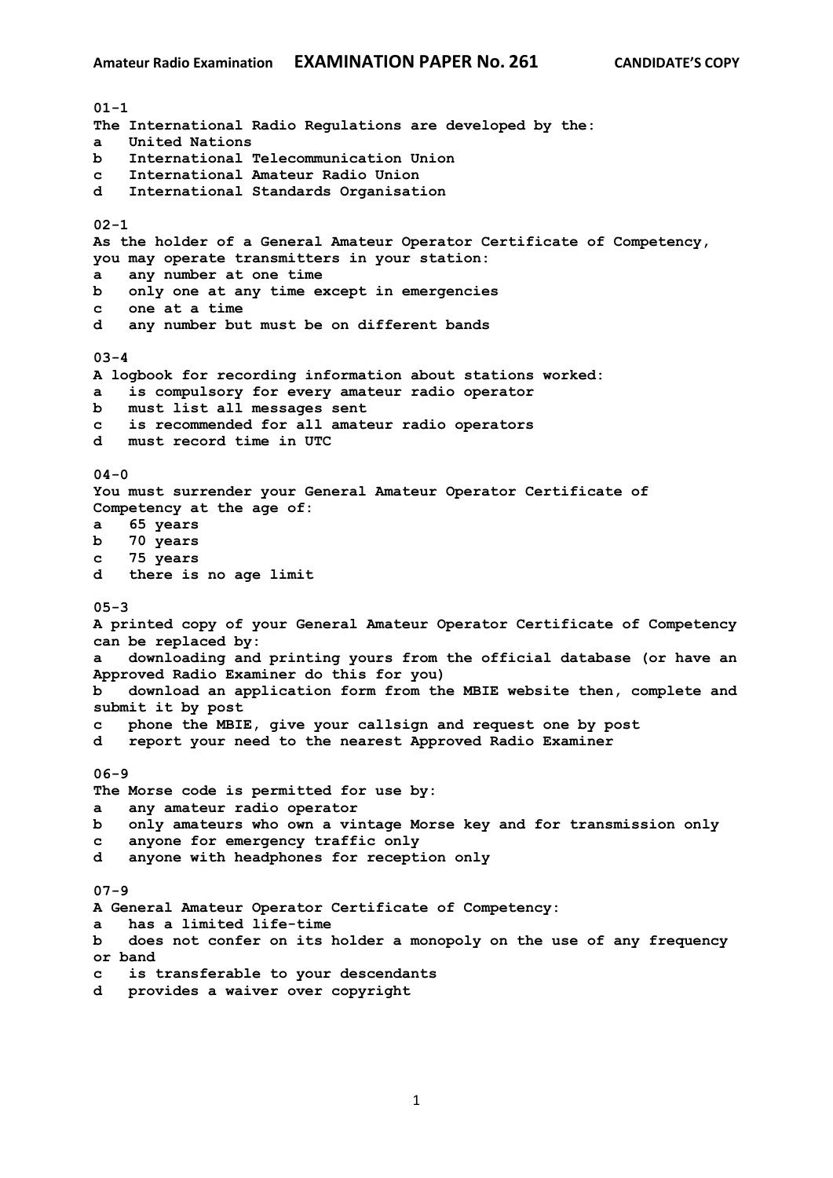**01-1 The International Radio Regulations are developed by the: a United Nations b International Telecommunication Union c International Amateur Radio Union d International Standards Organisation 02-1 As the holder of a General Amateur Operator Certificate of Competency, you may operate transmitters in your station: a any number at one time b only one at any time except in emergencies c one at a time d any number but must be on different bands 03-4 A logbook for recording information about stations worked: a is compulsory for every amateur radio operator b must list all messages sent c is recommended for all amateur radio operators d must record time in UTC 04-0 You must surrender your General Amateur Operator Certificate of Competency at the age of: a 65 years b 70 years c 75 years d there is no age limit 05-3 A printed copy of your General Amateur Operator Certificate of Competency can be replaced by: a downloading and printing yours from the official database (or have an Approved Radio Examiner do this for you) b download an application form from the MBIE website then, complete and submit it by post c phone the MBIE, give your callsign and request one by post d report your need to the nearest Approved Radio Examiner 06-9 The Morse code is permitted for use by: a any amateur radio operator b only amateurs who own a vintage Morse key and for transmission only c anyone for emergency traffic only d anyone with headphones for reception only 07-9 A General Amateur Operator Certificate of Competency: a has a limited life-time b does not confer on its holder a monopoly on the use of any frequency or band c is transferable to your descendants d provides a waiver over copyright**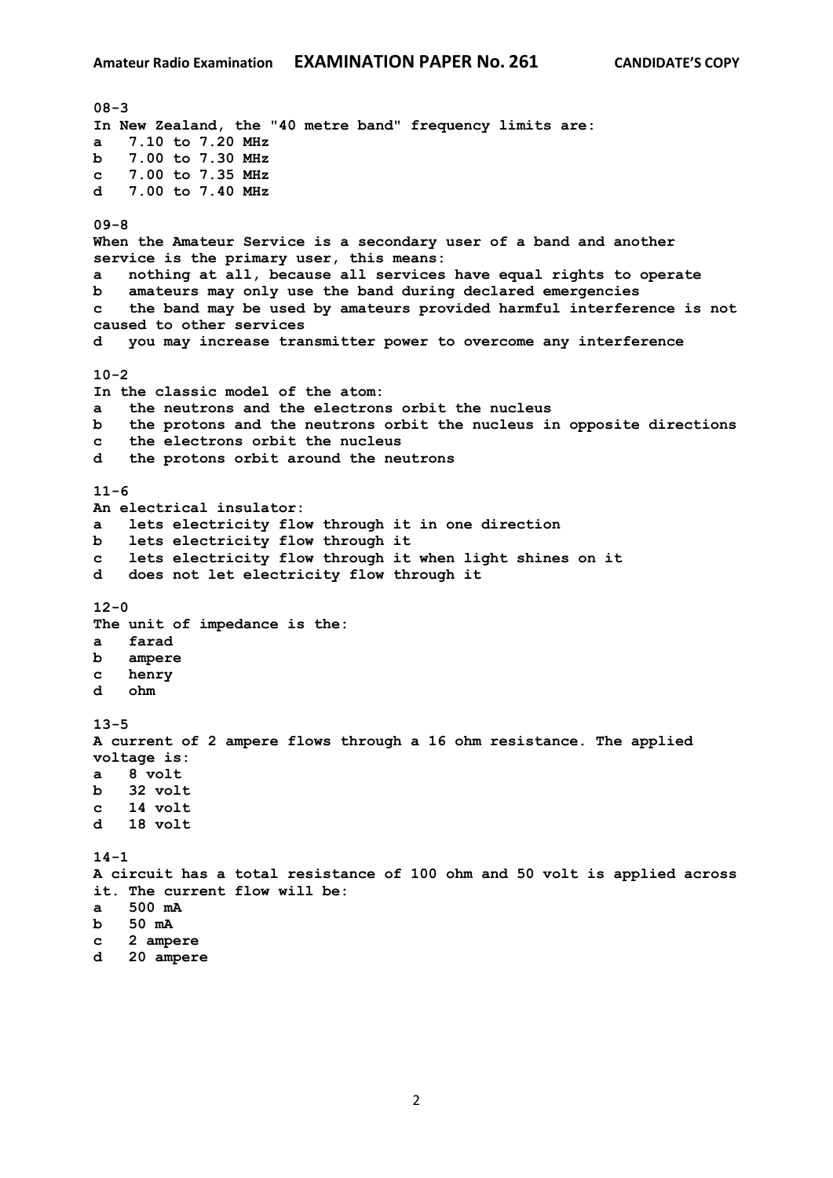**08-3 In New Zealand, the "40 metre band" frequency limits are: a 7.10 to 7.20 MHz b 7.00 to 7.30 MHz c 7.00 to 7.35 MHz d 7.00 to 7.40 MHz 09-8 When the Amateur Service is a secondary user of a band and another service is the primary user, this means: a nothing at all, because all services have equal rights to operate b amateurs may only use the band during declared emergencies c the band may be used by amateurs provided harmful interference is not caused to other services d you may increase transmitter power to overcome any interference 10-2 In the classic model of the atom: a the neutrons and the electrons orbit the nucleus b the protons and the neutrons orbit the nucleus in opposite directions c the electrons orbit the nucleus d the protons orbit around the neutrons 11-6 An electrical insulator: a lets electricity flow through it in one direction b lets electricity flow through it c lets electricity flow through it when light shines on it d does not let electricity flow through it 12-0 The unit of impedance is the: a farad b ampere c henry d ohm 13-5 A current of 2 ampere flows through a 16 ohm resistance. The applied voltage is: a 8 volt b 32 volt c 14 volt d 18 volt 14-1 A circuit has a total resistance of 100 ohm and 50 volt is applied across it. The current flow will be: a 500 mA b 50 mA c 2 ampere d 20 ampere**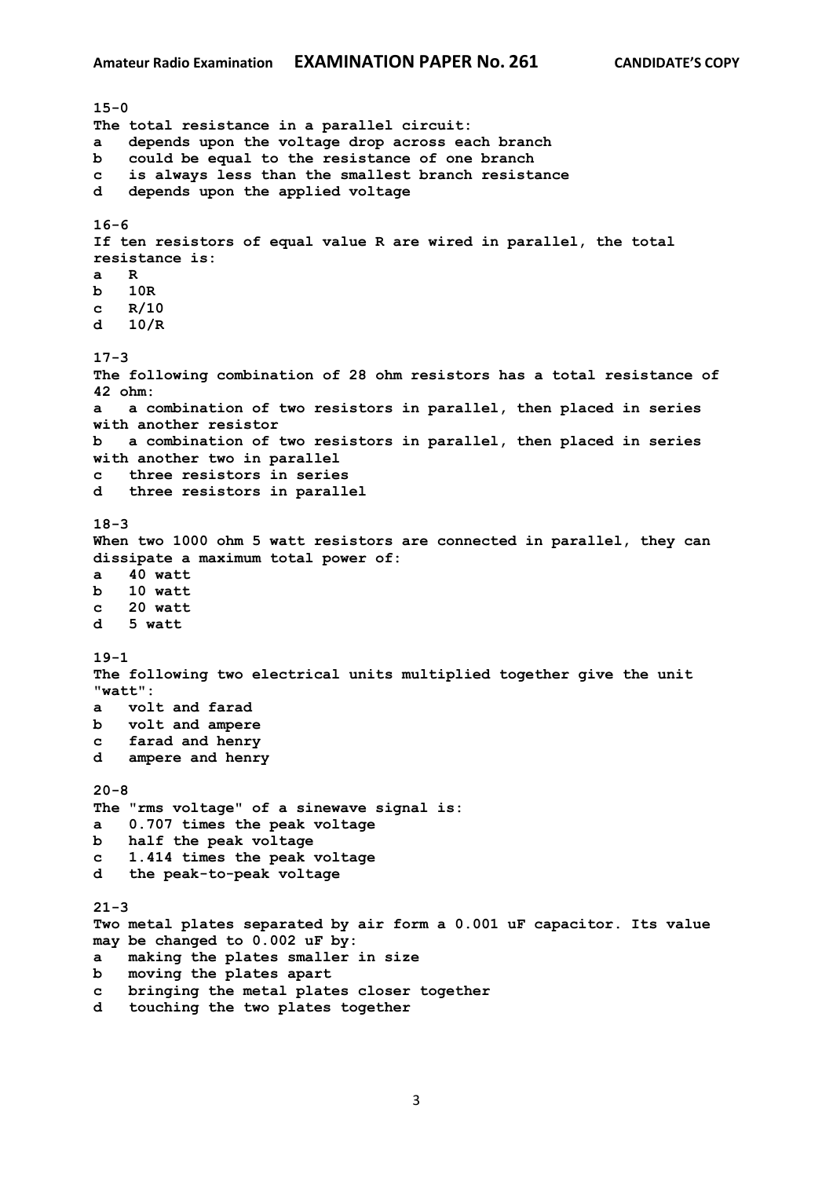**15-0 The total resistance in a parallel circuit: a depends upon the voltage drop across each branch b could be equal to the resistance of one branch c is always less than the smallest branch resistance d depends upon the applied voltage 16-6 If ten resistors of equal value R are wired in parallel, the total resistance is: a R b 10R c R/10 d 10/R 17-3 The following combination of 28 ohm resistors has a total resistance of 42 ohm: a a combination of two resistors in parallel, then placed in series with another resistor b a combination of two resistors in parallel, then placed in series with another two in parallel c three resistors in series d three resistors in parallel 18-3 When two 1000 ohm 5 watt resistors are connected in parallel, they can dissipate a maximum total power of: a 40 watt b 10 watt c 20 watt d 5 watt 19-1 The following two electrical units multiplied together give the unit "watt": a volt and farad b volt and ampere c farad and henry d ampere and henry 20-8 The "rms voltage" of a sinewave signal is: a 0.707 times the peak voltage b half the peak voltage c 1.414 times the peak voltage d the peak-to-peak voltage 21-3 Two metal plates separated by air form a 0.001 uF capacitor. Its value may be changed to 0.002 uF by: a making the plates smaller in size b moving the plates apart c bringing the metal plates closer together d touching the two plates together**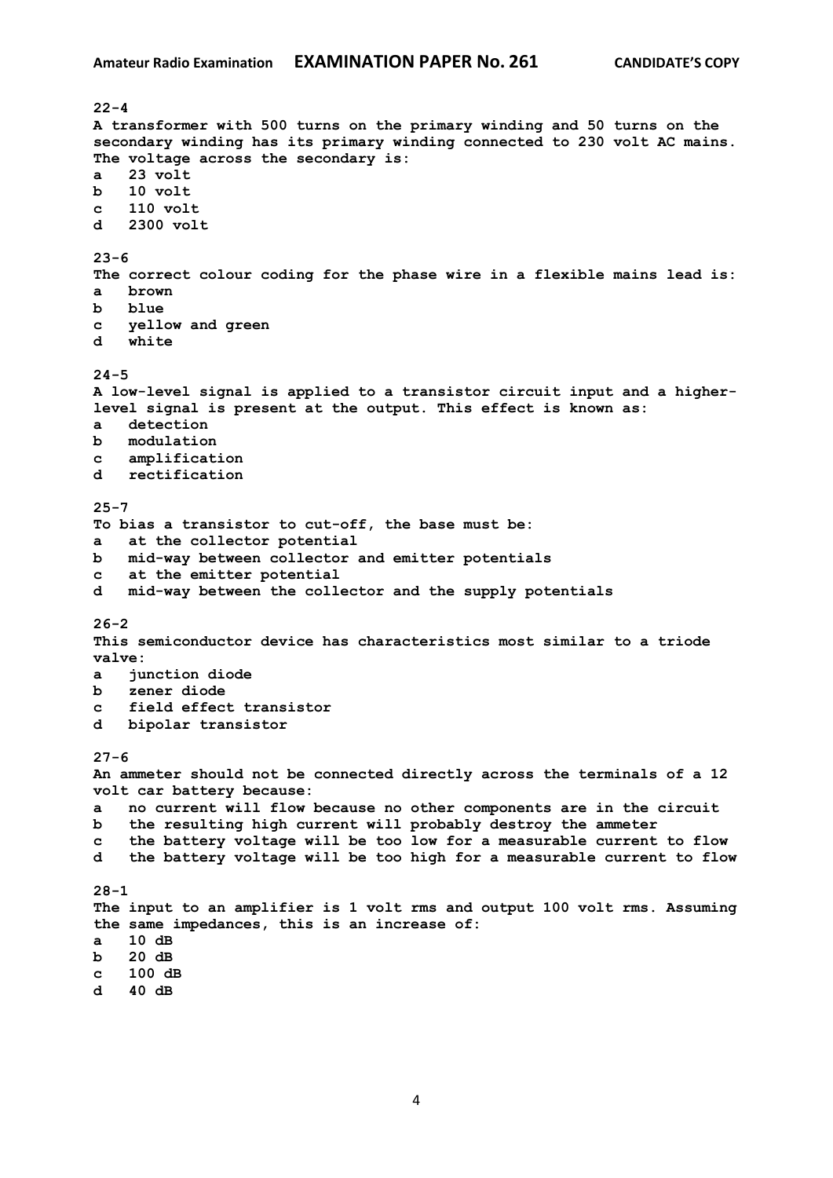**22-4 A transformer with 500 turns on the primary winding and 50 turns on the secondary winding has its primary winding connected to 230 volt AC mains. The voltage across the secondary is: a 23 volt b 10 volt c 110 volt d 2300 volt 23-6 The correct colour coding for the phase wire in a flexible mains lead is: a brown b blue c yellow and green d white 24-5 A low-level signal is applied to a transistor circuit input and a higherlevel signal is present at the output. This effect is known as: a detection b modulation c amplification d rectification 25-7 To bias a transistor to cut-off, the base must be: a at the collector potential b mid-way between collector and emitter potentials c at the emitter potential d mid-way between the collector and the supply potentials 26-2 This semiconductor device has characteristics most similar to a triode valve: a junction diode b zener diode c field effect transistor d bipolar transistor 27-6 An ammeter should not be connected directly across the terminals of a 12 volt car battery because: a no current will flow because no other components are in the circuit b the resulting high current will probably destroy the ammeter c the battery voltage will be too low for a measurable current to flow d the battery voltage will be too high for a measurable current to flow 28-1 The input to an amplifier is 1 volt rms and output 100 volt rms. Assuming the same impedances, this is an increase of: a 10 dB b 20 dB c 100 dB d 40 dB**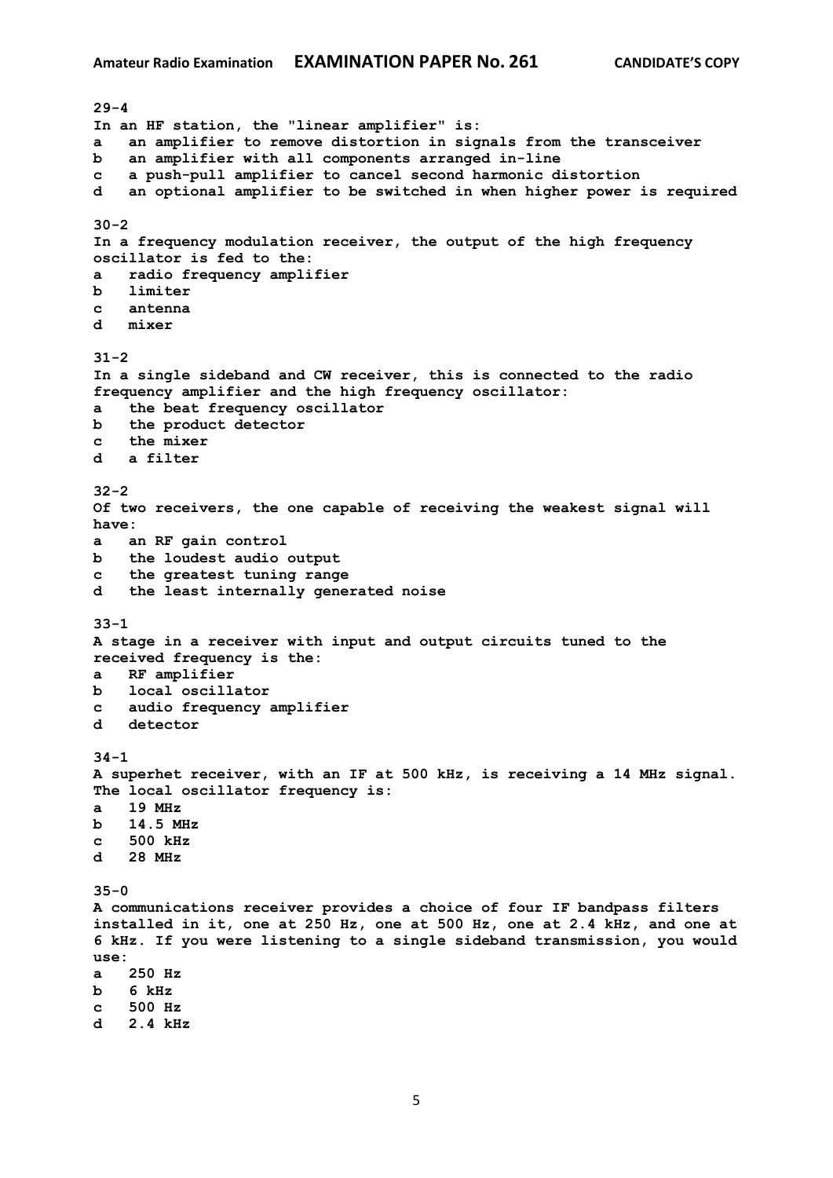**29-4 In an HF station, the "linear amplifier" is: a an amplifier to remove distortion in signals from the transceiver b an amplifier with all components arranged in-line c a push-pull amplifier to cancel second harmonic distortion d an optional amplifier to be switched in when higher power is required 30-2 In a frequency modulation receiver, the output of the high frequency oscillator is fed to the: a radio frequency amplifier b limiter c antenna d mixer 31-2 In a single sideband and CW receiver, this is connected to the radio frequency amplifier and the high frequency oscillator: a the beat frequency oscillator b the product detector c the mixer d a filter 32-2 Of two receivers, the one capable of receiving the weakest signal will have: a an RF gain control b the loudest audio output c the greatest tuning range d the least internally generated noise 33-1 A stage in a receiver with input and output circuits tuned to the received frequency is the: a RF amplifier b local oscillator c audio frequency amplifier d detector 34-1 A superhet receiver, with an IF at 500 kHz, is receiving a 14 MHz signal. The local oscillator frequency is: a 19 MHz b 14.5 MHz c 500 kHz d 28 MHz 35-0 A communications receiver provides a choice of four IF bandpass filters installed in it, one at 250 Hz, one at 500 Hz, one at 2.4 kHz, and one at 6 kHz. If you were listening to a single sideband transmission, you would use: a 250 Hz b 6 kHz c 500 Hz d 2.4 kHz**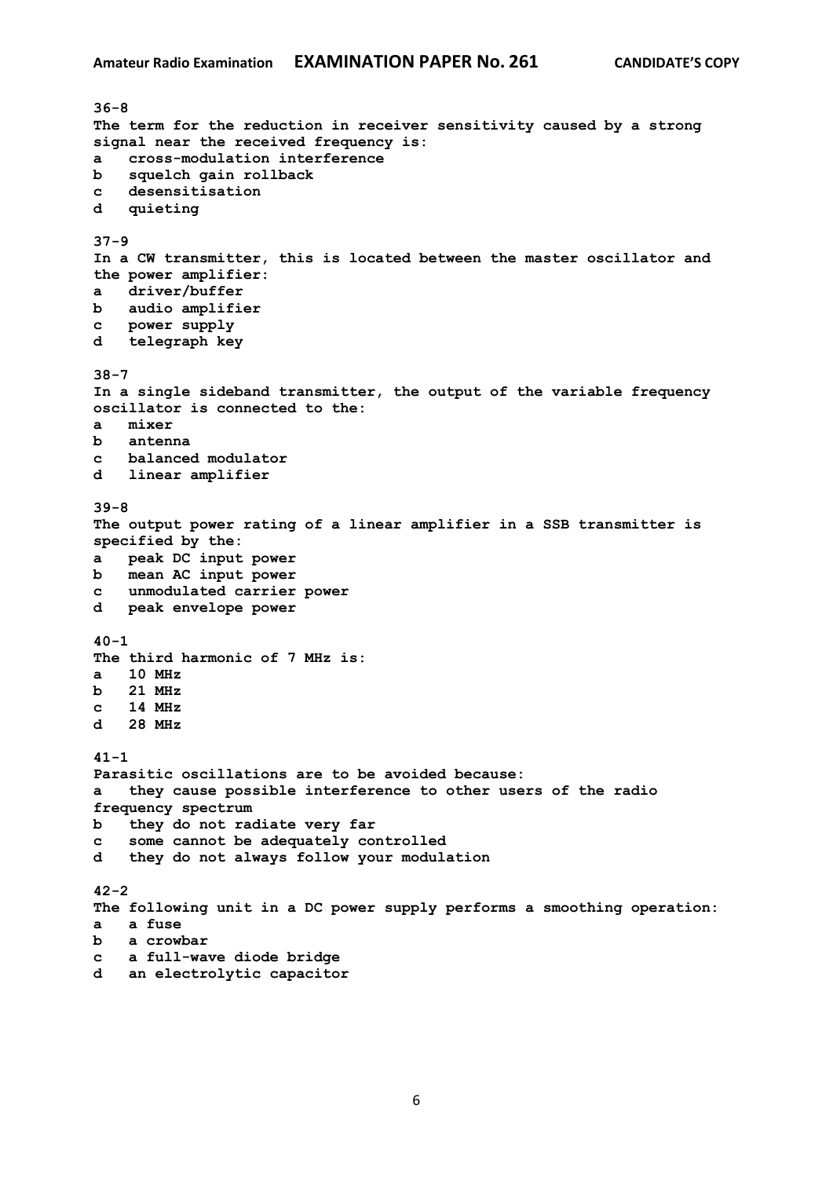**36-8 The term for the reduction in receiver sensitivity caused by a strong signal near the received frequency is: a cross-modulation interference b squelch gain rollback c desensitisation d quieting 37-9 In a CW transmitter, this is located between the master oscillator and the power amplifier: a driver/buffer b audio amplifier c power supply d telegraph key 38-7 In a single sideband transmitter, the output of the variable frequency oscillator is connected to the: a mixer b antenna c balanced modulator d linear amplifier 39-8 The output power rating of a linear amplifier in a SSB transmitter is specified by the: a peak DC input power b mean AC input power c unmodulated carrier power d peak envelope power 40-1 The third harmonic of 7 MHz is: a 10 MHz b 21 MHz c 14 MHz d 28 MHz 41-1 Parasitic oscillations are to be avoided because: a they cause possible interference to other users of the radio frequency spectrum b they do not radiate very far c some cannot be adequately controlled d they do not always follow your modulation 42-2 The following unit in a DC power supply performs a smoothing operation: a a fuse b a crowbar c a full-wave diode bridge d an electrolytic capacitor**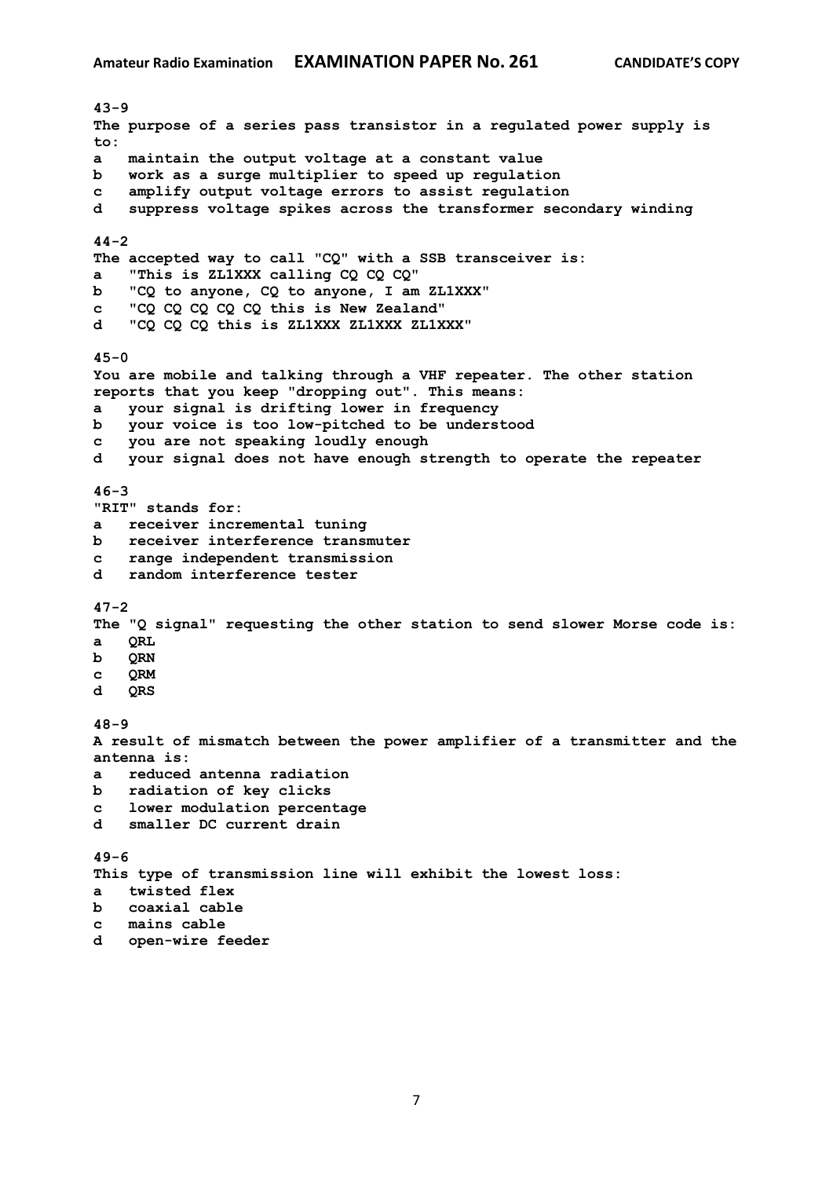**43-9 The purpose of a series pass transistor in a regulated power supply is to: a maintain the output voltage at a constant value b work as a surge multiplier to speed up regulation c amplify output voltage errors to assist regulation d suppress voltage spikes across the transformer secondary winding 44-2 The accepted way to call "CQ" with a SSB transceiver is: a "This is ZL1XXX calling CQ CQ CQ" b "CQ to anyone, CQ to anyone, I am ZL1XXX" c "CQ CQ CQ CQ CQ this is New Zealand" d "CQ CQ CQ this is ZL1XXX ZL1XXX ZL1XXX" 45-0 You are mobile and talking through a VHF repeater. The other station reports that you keep "dropping out". This means: a your signal is drifting lower in frequency b your voice is too low-pitched to be understood c you are not speaking loudly enough d your signal does not have enough strength to operate the repeater 46-3 "RIT" stands for: a receiver incremental tuning b receiver interference transmuter c range independent transmission d random interference tester 47-2 The "Q signal" requesting the other station to send slower Morse code is: a QRL b QRN c QRM d QRS 48-9 A result of mismatch between the power amplifier of a transmitter and the antenna is: a reduced antenna radiation b radiation of key clicks c lower modulation percentage d smaller DC current drain 49-6 This type of transmission line will exhibit the lowest loss: a twisted flex b coaxial cable c mains cable**

**d open-wire feeder**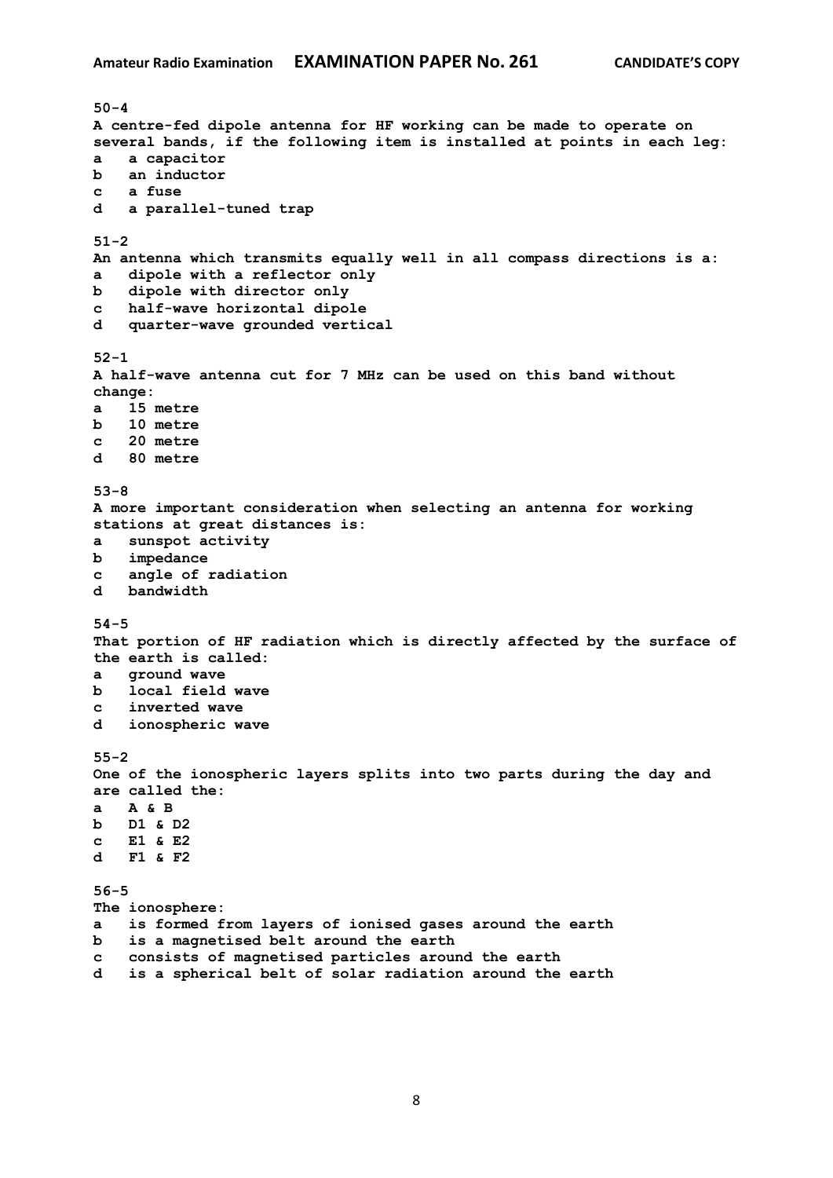**50-4 A centre-fed dipole antenna for HF working can be made to operate on several bands, if the following item is installed at points in each leg: a a capacitor b an inductor c a fuse d a parallel-tuned trap 51-2 An antenna which transmits equally well in all compass directions is a: a dipole with a reflector only b dipole with director only c half-wave horizontal dipole d quarter-wave grounded vertical 52-1 A half-wave antenna cut for 7 MHz can be used on this band without change: a 15 metre b 10 metre c 20 metre d 80 metre 53-8 A more important consideration when selecting an antenna for working stations at great distances is: a sunspot activity b impedance c angle of radiation d bandwidth 54-5 That portion of HF radiation which is directly affected by the surface of the earth is called: a ground wave b local field wave c inverted wave d ionospheric wave 55-2 One of the ionospheric layers splits into two parts during the day and are called the: a A & B b D1 & D2 c E1 & E2 d F1 & F2 56-5 The ionosphere: a is formed from layers of ionised gases around the earth b is a magnetised belt around the earth c consists of magnetised particles around the earth d is a spherical belt of solar radiation around the earth**